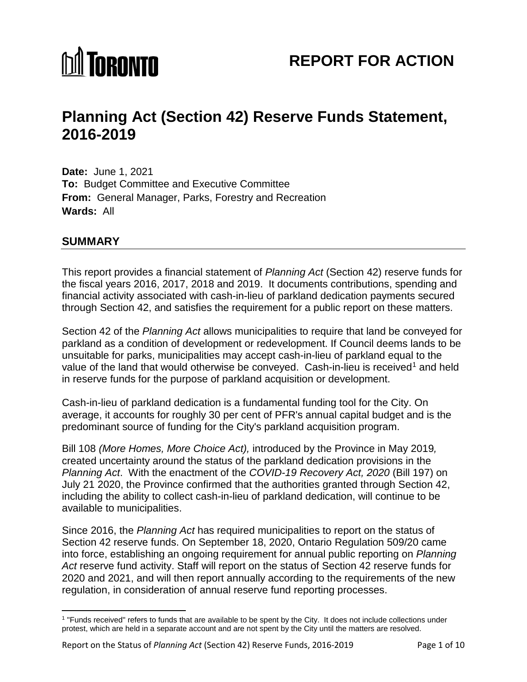

# **Planning Act (Section 42) Reserve Funds Statement, 2016-2019**

**Date:** June 1, 2021 **To:** Budget Committee and Executive Committee **From:** General Manager, Parks, Forestry and Recreation **Wards:** All

# **SUMMARY**

l

This report provides a financial statement of *Planning Act* (Section 42) reserve funds for the fiscal years 2016, 2017, 2018 and 2019. It documents contributions, spending and financial activity associated with cash-in-lieu of parkland dedication payments secured through Section 42, and satisfies the requirement for a public report on these matters.

Section 42 of the *Planning Act* allows municipalities to require that land be conveyed for parkland as a condition of development or redevelopment. If Council deems lands to be unsuitable for parks, municipalities may accept cash-in-lieu of parkland equal to the value of the land that would otherwise be conveyed. Cash-in-lieu is received<sup>[1](#page-0-0)</sup> and held in reserve funds for the purpose of parkland acquisition or development.

Cash-in-lieu of parkland dedication is a fundamental funding tool for the City. On average, it accounts for roughly 30 per cent of PFR's annual capital budget and is the predominant source of funding for the City's parkland acquisition program.

Bill 108 *(More Homes, More Choice Act),* introduced by the Province in May 2019*,*  created uncertainty around the status of the parkland dedication provisions in the *Planning Act*. With the enactment of the *COVID-19 Recovery Act, 2020* (Bill 197) on July 21 2020, the Province confirmed that the authorities granted through Section 42, including the ability to collect cash-in-lieu of parkland dedication, will continue to be available to municipalities.

Since 2016, the *Planning Act* has required municipalities to report on the status of Section 42 reserve funds. On September 18, 2020, Ontario Regulation 509/20 came into force, establishing an ongoing requirement for annual public reporting on *Planning Act* reserve fund activity. Staff will report on the status of Section 42 reserve funds for 2020 and 2021, and will then report annually according to the requirements of the new regulation, in consideration of annual reserve fund reporting processes.

<span id="page-0-0"></span><sup>1</sup> "Funds received" refers to funds that are available to be spent by the City. It does not include collections under protest, which are held in a separate account and are not spent by the City until the matters are resolved.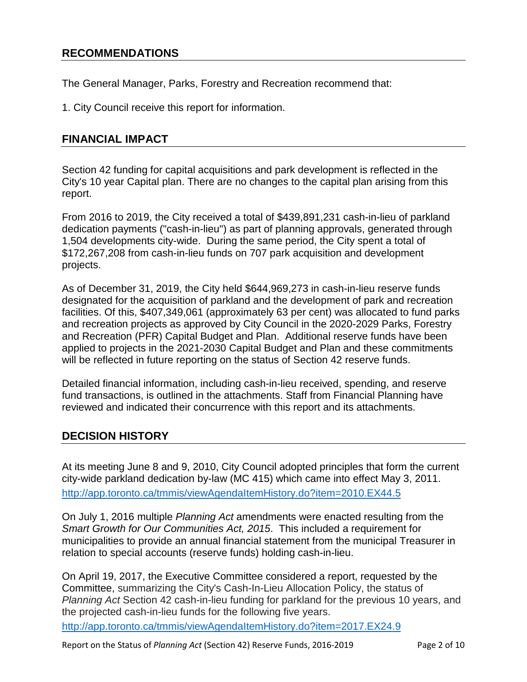# **RECOMMENDATIONS**

The General Manager, Parks, Forestry and Recreation recommend that:

1. City Council receive this report for information.

# **FINANCIAL IMPACT**

Section 42 funding for capital acquisitions and park development is reflected in the City's 10 year Capital plan. There are no changes to the capital plan arising from this report.

From 2016 to 2019, the City received a total of \$439,891,231 cash-in-lieu of parkland dedication payments ("cash-in-lieu") as part of planning approvals, generated through 1,504 developments city-wide. During the same period, the City spent a total of \$172,267,208 from cash-in-lieu funds on 707 park acquisition and development projects.

As of December 31, 2019, the City held \$644,969,273 in cash-in-lieu reserve funds designated for the acquisition of parkland and the development of park and recreation facilities. Of this, \$407,349,061 (approximately 63 per cent) was allocated to fund parks and recreation projects as approved by City Council in the 2020-2029 Parks, Forestry and Recreation (PFR) Capital Budget and Plan. Additional reserve funds have been applied to projects in the 2021-2030 Capital Budget and Plan and these commitments will be reflected in future reporting on the status of Section 42 reserve funds.

Detailed financial information, including cash-in-lieu received, spending, and reserve fund transactions, is outlined in the attachments. Staff from Financial Planning have reviewed and indicated their concurrence with this report and its attachments.

# **DECISION HISTORY**

At its meeting June 8 and 9, 2010, City Council adopted principles that form the current city-wide parkland dedication by-law (MC 415) which came into effect May 3, 2011. <http://app.toronto.ca/tmmis/viewAgendaItemHistory.do?item=2010.EX44.5>

On July 1, 2016 multiple *Planning Act* amendments were enacted resulting from the *Smart Growth for Our Communities Act, 2015*. This included a requirement for municipalities to provide an annual financial statement from the municipal Treasurer in relation to special accounts (reserve funds) holding cash-in-lieu.

On April 19, 2017, the Executive Committee considered a report, requested by the Committee, summarizing the City's Cash-In-Lieu Allocation Policy, the status of *Planning Act* Section 42 cash-in-lieu funding for parkland for the previous 10 years, and the projected cash-in-lieu funds for the following five years.

<http://app.toronto.ca/tmmis/viewAgendaItemHistory.do?item=2017.EX24.9>

Report on the Status of *Planning Act* (Section 42) Reserve Funds, 2016-2019 Page 2 of 10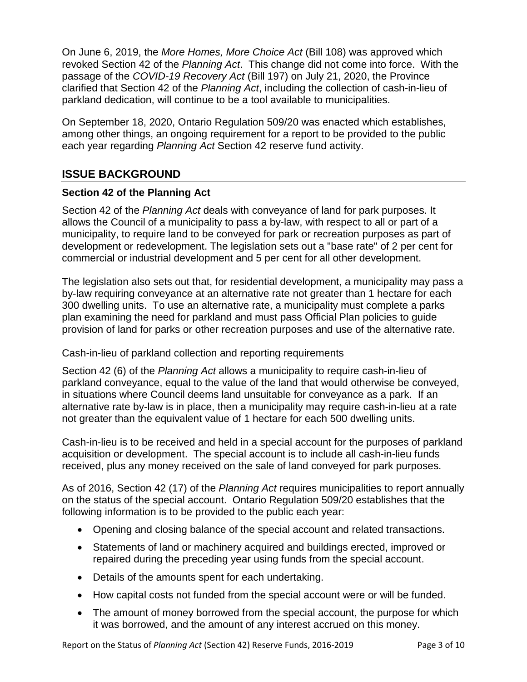On June 6, 2019, the *More Homes, More Choice Act* (Bill 108) was approved which revoked Section 42 of the *Planning Act*. This change did not come into force. With the passage of the *COVID-19 Recovery Act* (Bill 197) on July 21, 2020, the Province clarified that Section 42 of the *Planning Act*, including the collection of cash-in-lieu of parkland dedication, will continue to be a tool available to municipalities.

On September 18, 2020, Ontario Regulation 509/20 was enacted which establishes, among other things, an ongoing requirement for a report to be provided to the public each year regarding *Planning Act* Section 42 reserve fund activity.

# **ISSUE BACKGROUND**

# **Section 42 of the Planning Act**

Section 42 of the *Planning Act* deals with conveyance of land for park purposes. It allows the Council of a municipality to pass a by-law, with respect to all or part of a municipality, to require land to be conveyed for park or recreation purposes as part of development or redevelopment. The legislation sets out a "base rate" of 2 per cent for commercial or industrial development and 5 per cent for all other development.

The legislation also sets out that, for residential development, a municipality may pass a by-law requiring conveyance at an alternative rate not greater than 1 hectare for each 300 dwelling units. To use an alternative rate, a municipality must complete a parks plan examining the need for parkland and must pass Official Plan policies to guide provision of land for parks or other recreation purposes and use of the alternative rate.

#### Cash-in-lieu of parkland collection and reporting requirements

Section 42 (6) of the *Planning Act* allows a municipality to require cash-in-lieu of parkland conveyance, equal to the value of the land that would otherwise be conveyed, in situations where Council deems land unsuitable for conveyance as a park. If an alternative rate by-law is in place, then a municipality may require cash-in-lieu at a rate not greater than the equivalent value of 1 hectare for each 500 dwelling units.

Cash-in-lieu is to be received and held in a special account for the purposes of parkland acquisition or development. The special account is to include all cash-in-lieu funds received, plus any money received on the sale of land conveyed for park purposes.

As of 2016, Section 42 (17) of the *Planning Act* requires municipalities to report annually on the status of the special account. Ontario Regulation 509/20 establishes that the following information is to be provided to the public each year:

- Opening and closing balance of the special account and related transactions.
- Statements of land or machinery acquired and buildings erected, improved or repaired during the preceding year using funds from the special account.
- Details of the amounts spent for each undertaking.
- How capital costs not funded from the special account were or will be funded.
- The amount of money borrowed from the special account, the purpose for which it was borrowed, and the amount of any interest accrued on this money.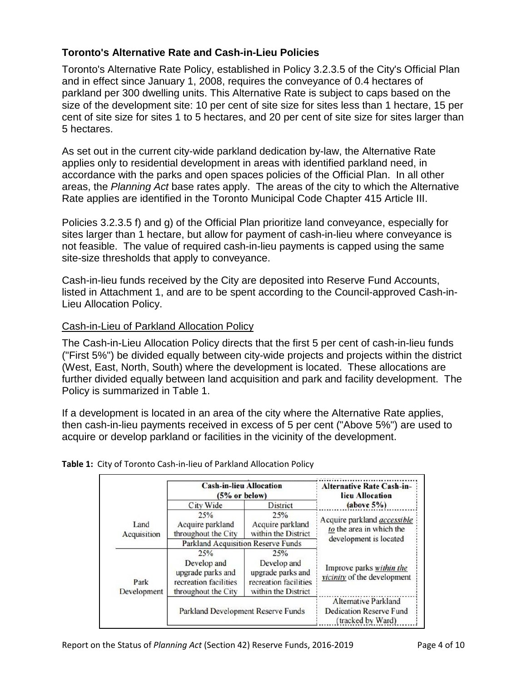# **Toronto's Alternative Rate and Cash-in-Lieu Policies**

Toronto's Alternative Rate Policy, established in Policy 3.2.3.5 of the City's Official Plan and in effect since January 1, 2008, requires the conveyance of 0.4 hectares of parkland per 300 dwelling units. This Alternative Rate is subject to caps based on the size of the development site: 10 per cent of site size for sites less than 1 hectare, 15 per cent of site size for sites 1 to 5 hectares, and 20 per cent of site size for sites larger than 5 hectares.

As set out in the current city-wide parkland dedication by-law, the Alternative Rate applies only to residential development in areas with identified parkland need, in accordance with the parks and open spaces policies of the Official Plan. In all other areas, the *Planning Act* base rates apply. The areas of the city to which the Alternative Rate applies are identified in the Toronto Municipal Code Chapter 415 Article III.

Policies 3.2.3.5 f) and g) of the Official Plan prioritize land conveyance, especially for sites larger than 1 hectare, but allow for payment of cash-in-lieu where conveyance is not feasible. The value of required cash-in-lieu payments is capped using the same site-size thresholds that apply to conveyance.

Cash-in-lieu funds received by the City are deposited into Reserve Fund Accounts, listed in Attachment 1, and are to be spent according to the Council-approved Cash-in-Lieu Allocation Policy.

#### Cash-in-Lieu of Parkland Allocation Policy

The Cash-in-Lieu Allocation Policy directs that the first 5 per cent of cash-in-lieu funds ("First 5%") be divided equally between city-wide projects and projects within the district (West, East, North, South) where the development is located. These allocations are further divided equally between land acquisition and park and facility development. The Policy is summarized in Table 1.

If a development is located in an area of the city where the Alternative Rate applies, then cash-in-lieu payments received in excess of 5 per cent ("Above 5%") are used to acquire or develop parkland or facilities in the vicinity of the development.

|                     | <b>Cash-in-lieu Allocation</b><br>$(5%$ or below)                                |                                                                                  | <b>Alternative Rate Cash-in-</b><br>lieu Allocation                                |  |
|---------------------|----------------------------------------------------------------------------------|----------------------------------------------------------------------------------|------------------------------------------------------------------------------------|--|
|                     | City Wide                                                                        | <b>District</b>                                                                  | (above 5%)                                                                         |  |
| Land<br>Acquisition | 25%<br>Acquire parkland<br>throughout the City                                   | 25%<br>Acquire parkland<br>within the District                                   | Acquire parkland <i>accessible</i><br>to the area in which the                     |  |
|                     | <b>Parkland Acquisition Reserve Funds</b>                                        |                                                                                  | development is located                                                             |  |
| Park<br>Development | 25%                                                                              | 25%                                                                              |                                                                                    |  |
|                     | Develop and<br>upgrade parks and<br>recreation facilities<br>throughout the City | Develop and<br>upgrade parks and<br>recreation facilities<br>within the District | Improve parks within the<br>vicinity of the development                            |  |
|                     | Parkland Development Reserve Funds                                               |                                                                                  | <b>Alternative Parkland</b><br><b>Dedication Reserve Fund</b><br>(tracked by Ward) |  |

**Table 1:** City of Toronto Cash-in-lieu of Parkland Allocation Policy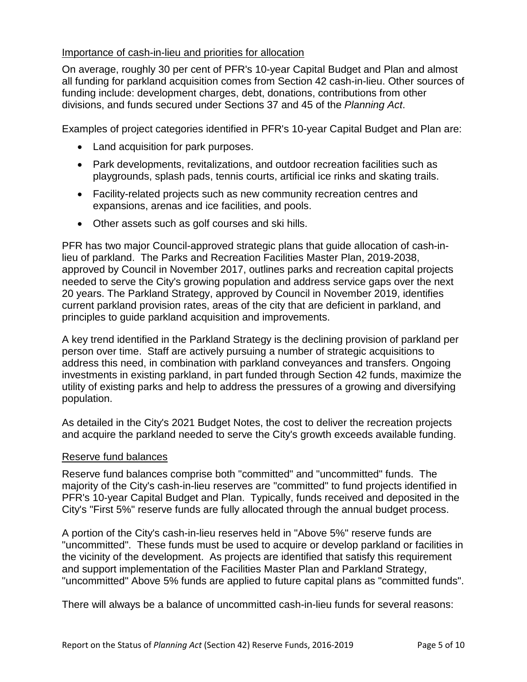#### Importance of cash-in-lieu and priorities for allocation

On average, roughly 30 per cent of PFR's 10-year Capital Budget and Plan and almost all funding for parkland acquisition comes from Section 42 cash-in-lieu. Other sources of funding include: development charges, debt, donations, contributions from other divisions, and funds secured under Sections 37 and 45 of the *Planning Act*.

Examples of project categories identified in PFR's 10-year Capital Budget and Plan are:

- Land acquisition for park purposes.
- Park developments, revitalizations, and outdoor recreation facilities such as playgrounds, splash pads, tennis courts, artificial ice rinks and skating trails.
- Facility-related projects such as new community recreation centres and expansions, arenas and ice facilities, and pools.
- Other assets such as golf courses and ski hills.

PFR has two major Council-approved strategic plans that guide allocation of cash-inlieu of parkland. The Parks and Recreation Facilities Master Plan, 2019-2038, approved by Council in November 2017, outlines parks and recreation capital projects needed to serve the City's growing population and address service gaps over the next 20 years. The Parkland Strategy, approved by Council in November 2019, identifies current parkland provision rates, areas of the city that are deficient in parkland, and principles to guide parkland acquisition and improvements.

A key trend identified in the Parkland Strategy is the declining provision of parkland per person over time. Staff are actively pursuing a number of strategic acquisitions to address this need, in combination with parkland conveyances and transfers. Ongoing investments in existing parkland, in part funded through Section 42 funds, maximize the utility of existing parks and help to address the pressures of a growing and diversifying population.

As detailed in the City's 2021 Budget Notes, the cost to deliver the recreation projects and acquire the parkland needed to serve the City's growth exceeds available funding.

#### Reserve fund balances

Reserve fund balances comprise both "committed" and "uncommitted" funds. The majority of the City's cash-in-lieu reserves are "committed" to fund projects identified in PFR's 10-year Capital Budget and Plan. Typically, funds received and deposited in the City's "First 5%" reserve funds are fully allocated through the annual budget process.

A portion of the City's cash-in-lieu reserves held in "Above 5%" reserve funds are "uncommitted". These funds must be used to acquire or develop parkland or facilities in the vicinity of the development. As projects are identified that satisfy this requirement and support implementation of the Facilities Master Plan and Parkland Strategy, "uncommitted" Above 5% funds are applied to future capital plans as "committed funds".

There will always be a balance of uncommitted cash-in-lieu funds for several reasons: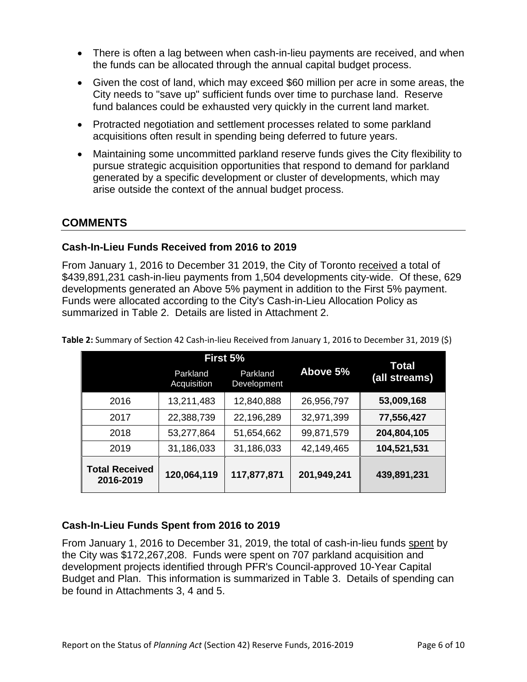- There is often a lag between when cash-in-lieu payments are received, and when the funds can be allocated through the annual capital budget process.
- Given the cost of land, which may exceed \$60 million per acre in some areas, the City needs to "save up" sufficient funds over time to purchase land. Reserve fund balances could be exhausted very quickly in the current land market.
- Protracted negotiation and settlement processes related to some parkland acquisitions often result in spending being deferred to future years.
- Maintaining some uncommitted parkland reserve funds gives the City flexibility to pursue strategic acquisition opportunities that respond to demand for parkland generated by a specific development or cluster of developments, which may arise outside the context of the annual budget process.

# **COMMENTS**

#### **Cash-In-Lieu Funds Received from 2016 to 2019**

From January 1, 2016 to December 31 2019, the City of Toronto received a total of \$439,891,231 cash-in-lieu payments from 1,504 developments city-wide. Of these, 629 developments generated an Above 5% payment in addition to the First 5% payment. Funds were allocated according to the City's Cash-in-Lieu Allocation Policy as summarized in Table 2. Details are listed in Attachment 2.

|                                    | First 5%                |                         |             | Total         |
|------------------------------------|-------------------------|-------------------------|-------------|---------------|
|                                    | Parkland<br>Acquisition | Parkland<br>Development | Above 5%    | (all streams) |
| 2016                               | 13,211,483              | 12,840,888              | 26,956,797  | 53,009,168    |
| 2017                               | 22,388,739              | 22,196,289              | 32,971,399  | 77,556,427    |
| 2018                               | 53,277,864              | 51,654,662              | 99,871,579  | 204,804,105   |
| 2019                               | 31,186,033              | 31,186,033              | 42,149,465  | 104,521,531   |
| <b>Total Received</b><br>2016-2019 | 120,064,119             | 117,877,871             | 201,949,241 | 439,891,231   |

**Table 2:** Summary of Section 42 Cash-in-lieu Received from January 1, 2016 to December 31, 2019 (\$)

# **Cash-In-Lieu Funds Spent from 2016 to 2019**

From January 1, 2016 to December 31, 2019, the total of cash-in-lieu funds spent by the City was \$172,267,208. Funds were spent on 707 parkland acquisition and development projects identified through PFR's Council-approved 10-Year Capital Budget and Plan. This information is summarized in Table 3. Details of spending can be found in Attachments 3, 4 and 5.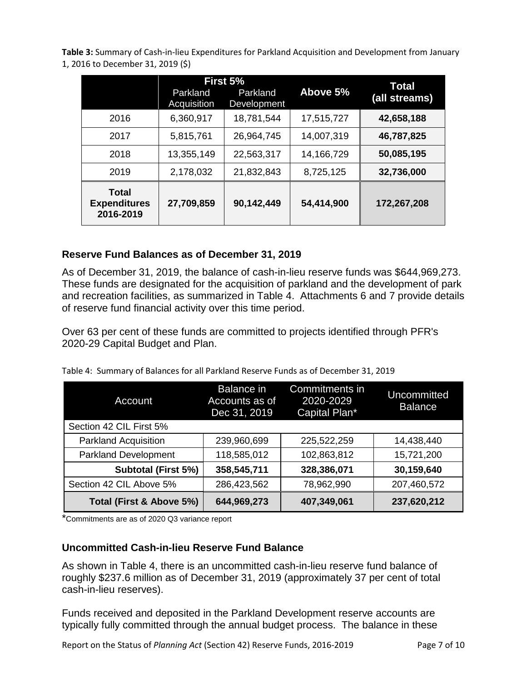**Table 3:** Summary of Cash-in-lieu Expenditures for Parkland Acquisition and Development from January 1, 2016 to December 31, 2019 (\$)

|                                           | First 5%<br>Parkland<br>Parkland |             | Above 5%   | Total<br>(all streams) |
|-------------------------------------------|----------------------------------|-------------|------------|------------------------|
|                                           | Acquisition                      | Development |            |                        |
| 2016                                      | 6,360,917                        | 18,781,544  | 17,515,727 | 42,658,188             |
| 2017                                      | 5,815,761                        | 26,964,745  | 14,007,319 | 46,787,825             |
| 2018                                      | 13,355,149                       | 22,563,317  | 14,166,729 | 50,085,195             |
| 2019                                      | 2,178,032                        | 21,832,843  | 8,725,125  | 32,736,000             |
| Total<br><b>Expenditures</b><br>2016-2019 | 27,709,859                       | 90,142,449  | 54,414,900 | 172,267,208            |

# **Reserve Fund Balances as of December 31, 2019**

As of December 31, 2019, the balance of cash-in-lieu reserve funds was \$644,969,273. These funds are designated for the acquisition of parkland and the development of park and recreation facilities, as summarized in Table 4. Attachments 6 and 7 provide details of reserve fund financial activity over this time period.

Over 63 per cent of these funds are committed to projects identified through PFR's 2020-29 Capital Budget and Plan.

| Account                     | Balance in<br>Accounts as of<br>Dec 31, 2019 | Commitments in<br>2020-2029<br>Capital Plan* | Uncommitted<br><b>Balance</b> |
|-----------------------------|----------------------------------------------|----------------------------------------------|-------------------------------|
| Section 42 CIL First 5%     |                                              |                                              |                               |
| <b>Parkland Acquisition</b> | 239,960,699                                  | 225,522,259                                  | 14,438,440                    |
| <b>Parkland Development</b> | 118,585,012                                  | 102,863,812                                  | 15,721,200                    |
| Subtotal (First 5%)         | 358,545,711                                  | 328,386,071                                  | 30,159,640                    |
| Section 42 CIL Above 5%     | 286,423,562                                  | 78,962,990                                   | 207,460,572                   |
| Total (First & Above 5%)    | 644,969,273                                  | 407,349,061                                  | 237,620,212                   |

Table 4: Summary of Balances for all Parkland Reserve Funds as of December 31, 2019

\*Commitments are as of 2020 Q3 variance report

#### **Uncommitted Cash-in-lieu Reserve Fund Balance**

As shown in Table 4, there is an uncommitted cash-in-lieu reserve fund balance of roughly \$237.6 million as of December 31, 2019 (approximately 37 per cent of total cash-in-lieu reserves).

Funds received and deposited in the Parkland Development reserve accounts are typically fully committed through the annual budget process. The balance in these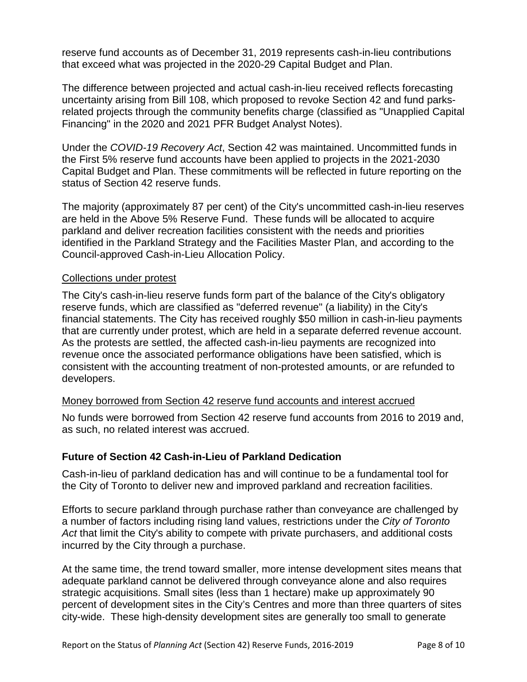reserve fund accounts as of December 31, 2019 represents cash-in-lieu contributions that exceed what was projected in the 2020-29 Capital Budget and Plan.

The difference between projected and actual cash-in-lieu received reflects forecasting uncertainty arising from Bill 108, which proposed to revoke Section 42 and fund parksrelated projects through the community benefits charge (classified as "Unapplied Capital Financing" in the 2020 and 2021 PFR Budget Analyst Notes).

Under the *COVID-19 Recovery Act*, Section 42 was maintained. Uncommitted funds in the First 5% reserve fund accounts have been applied to projects in the 2021-2030 Capital Budget and Plan. These commitments will be reflected in future reporting on the status of Section 42 reserve funds.

The majority (approximately 87 per cent) of the City's uncommitted cash-in-lieu reserves are held in the Above 5% Reserve Fund. These funds will be allocated to acquire parkland and deliver recreation facilities consistent with the needs and priorities identified in the Parkland Strategy and the Facilities Master Plan, and according to the Council-approved Cash-in-Lieu Allocation Policy.

#### Collections under protest

The City's cash-in-lieu reserve funds form part of the balance of the City's obligatory reserve funds, which are classified as "deferred revenue" (a liability) in the City's financial statements. The City has received roughly \$50 million in cash-in-lieu payments that are currently under protest, which are held in a separate deferred revenue account. As the protests are settled, the affected cash-in-lieu payments are recognized into revenue once the associated performance obligations have been satisfied, which is consistent with the accounting treatment of non-protested amounts, or are refunded to developers.

#### Money borrowed from Section 42 reserve fund accounts and interest accrued

No funds were borrowed from Section 42 reserve fund accounts from 2016 to 2019 and, as such, no related interest was accrued.

#### **Future of Section 42 Cash-in-Lieu of Parkland Dedication**

Cash-in-lieu of parkland dedication has and will continue to be a fundamental tool for the City of Toronto to deliver new and improved parkland and recreation facilities.

Efforts to secure parkland through purchase rather than conveyance are challenged by a number of factors including rising land values, restrictions under the *City of Toronto Act* that limit the City's ability to compete with private purchasers, and additional costs incurred by the City through a purchase.

At the same time, the trend toward smaller, more intense development sites means that adequate parkland cannot be delivered through conveyance alone and also requires strategic acquisitions. Small sites (less than 1 hectare) make up approximately 90 percent of development sites in the City's Centres and more than three quarters of sites city-wide. These high-density development sites are generally too small to generate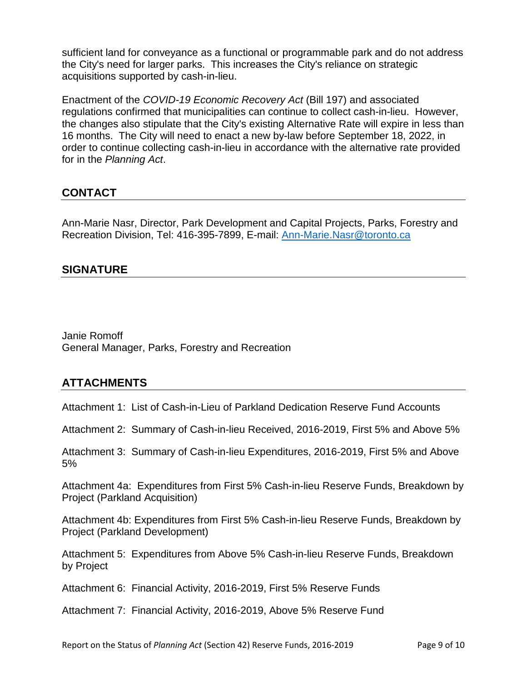sufficient land for conveyance as a functional or programmable park and do not address the City's need for larger parks. This increases the City's reliance on strategic acquisitions supported by cash-in-lieu.

Enactment of the *COVID-19 Economic Recovery Act* (Bill 197) and associated regulations confirmed that municipalities can continue to collect cash-in-lieu. However, the changes also stipulate that the City's existing Alternative Rate will expire in less than 16 months. The City will need to enact a new by-law before September 18, 2022, in order to continue collecting cash-in-lieu in accordance with the alternative rate provided for in the *Planning Act*.

# **CONTACT**

Ann-Marie Nasr, Director, Park Development and Capital Projects, Parks, Forestry and Recreation Division, Tel: 416-395-7899, E-mail: [Ann-Marie.Nasr@toronto.ca](mailto:Ann-Marie.Nasr@toronto.ca)

# **SIGNATURE**

Janie Romoff General Manager, Parks, Forestry and Recreation

# **ATTACHMENTS**

Attachment 1: List of Cash-in-Lieu of Parkland Dedication Reserve Fund Accounts

Attachment 2: Summary of Cash-in-lieu Received, 2016-2019, First 5% and Above 5%

Attachment 3: Summary of Cash-in-lieu Expenditures, 2016-2019, First 5% and Above 5%

Attachment 4a: Expenditures from First 5% Cash-in-lieu Reserve Funds, Breakdown by Project (Parkland Acquisition)

Attachment 4b: Expenditures from First 5% Cash-in-lieu Reserve Funds, Breakdown by Project (Parkland Development)

Attachment 5: Expenditures from Above 5% Cash-in-lieu Reserve Funds, Breakdown by Project

Attachment 6: Financial Activity, 2016-2019, First 5% Reserve Funds

Attachment 7: Financial Activity, 2016-2019, Above 5% Reserve Fund